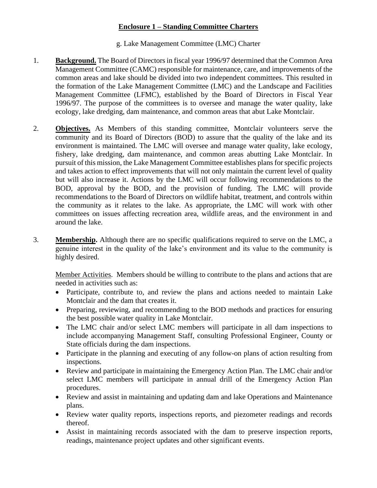## **Enclosure 1 – Standing Committee Charters**

## g. Lake Management Committee (LMC) Charter

- 1. **Background.** The Board of Directors in fiscal year 1996/97 determined that the Common Area Management Committee (CAMC) responsible for maintenance, care, and improvements of the common areas and lake should be divided into two independent committees. This resulted in the formation of the Lake Management Committee (LMC) and the Landscape and Facilities Management Committee (LFMC), established by the Board of Directors in Fiscal Year 1996/97. The purpose of the committees is to oversee and manage the water quality, lake ecology, lake dredging, dam maintenance, and common areas that abut Lake Montclair.
- 2. **Objectives.** As Members of this standing committee, Montclair volunteers serve the community and its Board of Directors (BOD) to assure that the quality of the lake and its environment is maintained. The LMC will oversee and manage water quality, lake ecology, fishery, lake dredging, dam maintenance, and common areas abutting Lake Montclair. In pursuit of this mission, the Lake Management Committee establishes plans for specific projects and takes action to effect improvements that will not only maintain the current level of quality but will also increase it. Actions by the LMC will occur following recommendations to the BOD, approval by the BOD, and the provision of funding. The LMC will provide recommendations to the Board of Directors on wildlife habitat, treatment, and controls within the community as it relates to the lake. As appropriate, the LMC will work with other committees on issues affecting recreation area, wildlife areas, and the environment in and around the lake.
- 3. **Membership.** Although there are no specific qualifications required to serve on the LMC, a genuine interest in the quality of the lake's environment and its value to the community is highly desired.

Member Activities. Members should be willing to contribute to the plans and actions that are needed in activities such as:

- Participate, contribute to, and review the plans and actions needed to maintain Lake Montclair and the dam that creates it.
- Preparing, reviewing, and recommending to the BOD methods and practices for ensuring the best possible water quality in Lake Montclair.
- The LMC chair and/or select LMC members will participate in all dam inspections to include accompanying Management Staff, consulting Professional Engineer, County or State officials during the dam inspections.
- Participate in the planning and executing of any follow-on plans of action resulting from inspections.
- Review and participate in maintaining the Emergency Action Plan. The LMC chair and/or select LMC members will participate in annual drill of the Emergency Action Plan procedures.
- Review and assist in maintaining and updating dam and lake Operations and Maintenance plans.
- Review water quality reports, inspections reports, and piezometer readings and records thereof.
- Assist in maintaining records associated with the dam to preserve inspection reports, readings, maintenance project updates and other significant events.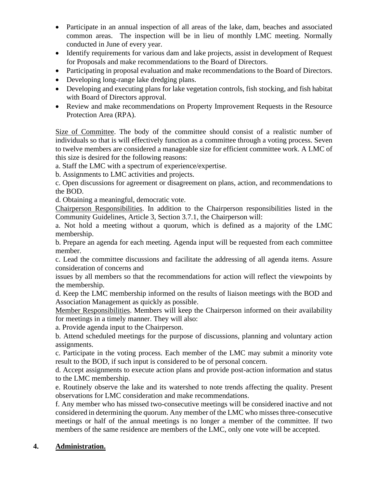- Participate in an annual inspection of all areas of the lake, dam, beaches and associated common areas. The inspection will be in lieu of monthly LMC meeting. Normally conducted in June of every year.
- Identify requirements for various dam and lake projects, assist in development of Request for Proposals and make recommendations to the Board of Directors.
- Participating in proposal evaluation and make recommendations to the Board of Directors.
- Developing long-range lake dredging plans.
- Developing and executing plans for lake vegetation controls, fish stocking, and fish habitat with Board of Directors approval.
- Review and make recommendations on Property Improvement Requests in the Resource Protection Area (RPA).

Size of Committee. The body of the committee should consist of a realistic number of individuals so that is will effectively function as a committee through a voting process. Seven to twelve members are considered a manageable size for efficient committee work. A LMC of this size is desired for the following reasons:

a. Staff the LMC with a spectrum of experience/expertise.

b. Assignments to LMC activities and projects.

c. Open discussions for agreement or disagreement on plans, action, and recommendations to the BOD.

d. Obtaining a meaningful, democratic vote.

Chairperson Responsibilities. In addition to the Chairperson responsibilities listed in the Community Guidelines, Article 3, Section 3.7.1, the Chairperson will:

a. Not hold a meeting without a quorum, which is defined as a majority of the LMC membership.

b. Prepare an agenda for each meeting. Agenda input will be requested from each committee member.

c. Lead the committee discussions and facilitate the addressing of all agenda items. Assure consideration of concerns and

issues by all members so that the recommendations for action will reflect the viewpoints by the membership.

d. Keep the LMC membership informed on the results of liaison meetings with the BOD and Association Management as quickly as possible.

Member Responsibilities. Members will keep the Chairperson informed on their availability for meetings in a timely manner. They will also:

a. Provide agenda input to the Chairperson.

b. Attend scheduled meetings for the purpose of discussions, planning and voluntary action assignments.

c. Participate in the voting process. Each member of the LMC may submit a minority vote result to the BOD, if such input is considered to be of personal concern.

d. Accept assignments to execute action plans and provide post-action information and status to the LMC membership.

e. Routinely observe the lake and its watershed to note trends affecting the quality. Present observations for LMC consideration and make recommendations.

f. Any member who has missed two-consecutive meetings will be considered inactive and not considered in determining the quorum. Any member of the LMC who misses three-consecutive meetings or half of the annual meetings is no longer a member of the committee. If two members of the same residence are members of the LMC, only one vote will be accepted.

## **4. Administration.**